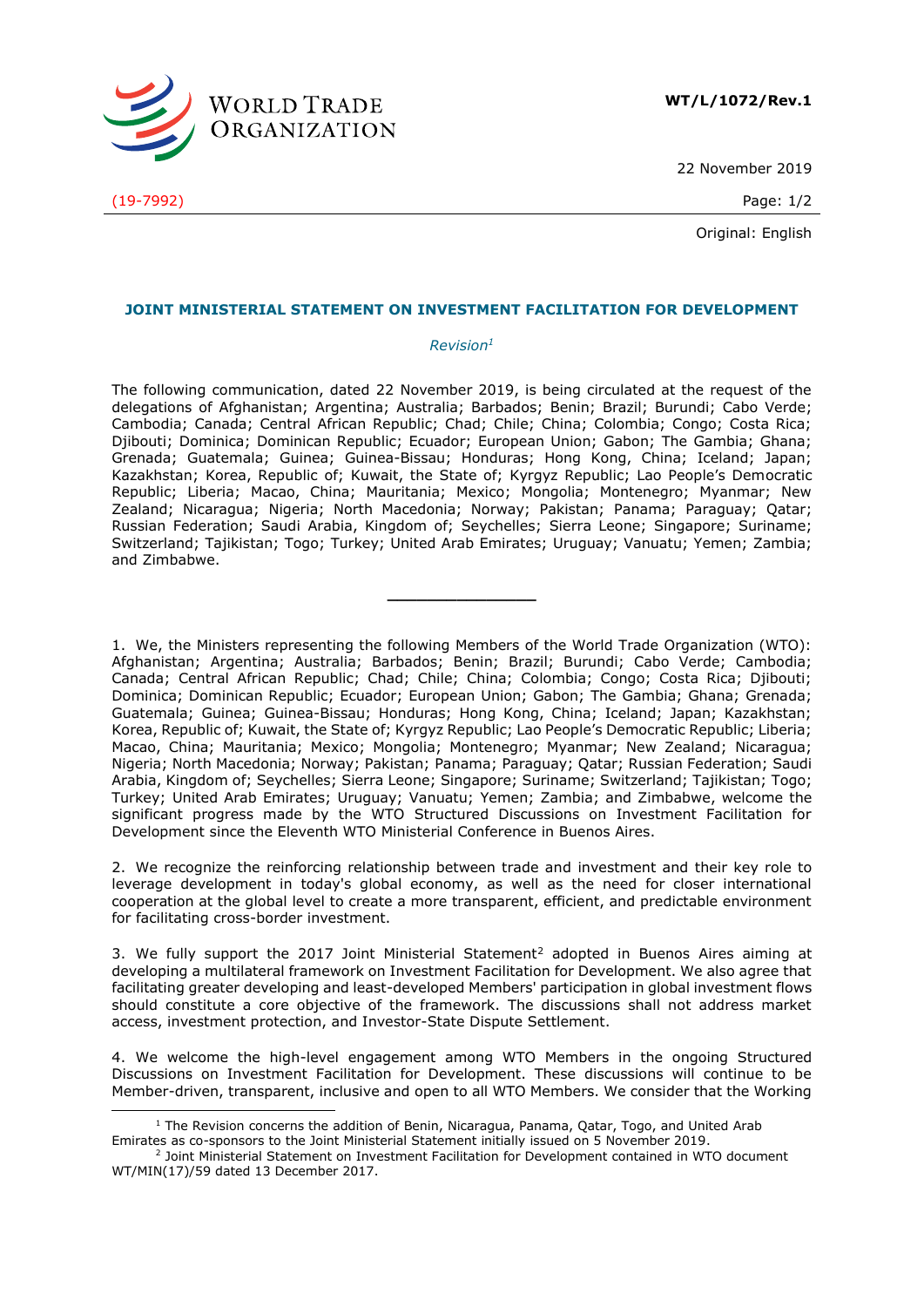

22 November 2019

Original: English

## **JOINT MINISTERIAL STATEMENT ON INVESTMENT FACILITATION FOR DEVELOPMENT**

## *Revision<sup>1</sup>*

The following communication, dated 22 November 2019, is being circulated at the request of the delegations of Afghanistan; Argentina; Australia; Barbados; Benin; Brazil; Burundi; Cabo Verde; Cambodia; Canada; Central African Republic; Chad; Chile; China; Colombia; Congo; Costa Rica; Djibouti; Dominica; Dominican Republic; Ecuador; European Union; Gabon; The Gambia; Ghana; Grenada; Guatemala; Guinea; Guinea-Bissau; Honduras; Hong Kong, China; Iceland; Japan; Kazakhstan; Korea, Republic of; Kuwait, the State of; Kyrgyz Republic; Lao People's Democratic Republic; Liberia; Macao, China; Mauritania; Mexico; Mongolia; Montenegro; Myanmar; New Zealand; Nicaragua; Nigeria; North Macedonia; Norway; Pakistan; Panama; Paraguay; Qatar; Russian Federation; Saudi Arabia, Kingdom of; Seychelles; Sierra Leone; Singapore; Suriname; Switzerland; Tajikistan; Togo; Turkey; United Arab Emirates; Uruguay; Vanuatu; Yemen; Zambia; and Zimbabwe.

**\_\_\_\_\_\_\_\_\_\_\_\_\_\_\_**

1. We, the Ministers representing the following Members of the World Trade Organization (WTO): Afghanistan; Argentina; Australia; Barbados; Benin; Brazil; Burundi; Cabo Verde; Cambodia; Canada; Central African Republic; Chad; Chile; China; Colombia; Congo; Costa Rica; Djibouti; Dominica; Dominican Republic; Ecuador; European Union; Gabon; The Gambia; Ghana; Grenada; Guatemala; Guinea; Guinea-Bissau; Honduras; Hong Kong, China; Iceland; Japan; Kazakhstan; Korea, Republic of; Kuwait, the State of; Kyrgyz Republic; Lao People's Democratic Republic; Liberia; Macao, China; Mauritania; Mexico; Mongolia; Montenegro; Myanmar; New Zealand; Nicaragua; Nigeria; North Macedonia; Norway; Pakistan; Panama; Paraguay; Qatar; Russian Federation; Saudi Arabia, Kingdom of; Seychelles; Sierra Leone; Singapore; Suriname; Switzerland; Tajikistan; Togo; Turkey; United Arab Emirates; Uruguay; Vanuatu; Yemen; Zambia; and Zimbabwe, welcome the significant progress made by the WTO Structured Discussions on Investment Facilitation for Development since the Eleventh WTO Ministerial Conference in Buenos Aires.

2. We recognize the reinforcing relationship between trade and investment and their key role to leverage development in today's global economy, as well as the need for closer international cooperation at the global level to create a more transparent, efficient, and predictable environment for facilitating cross-border investment.

3. We fully support the 2017 Joint Ministerial Statement<sup>2</sup> adopted in Buenos Aires aiming at developing a multilateral framework on Investment Facilitation for Development. We also agree that facilitating greater developing and least-developed Members' participation in global investment flows should constitute a core objective of the framework. The discussions shall not address market access, investment protection, and Investor-State Dispute Settlement.

4. We welcome the high-level engagement among WTO Members in the ongoing Structured Discussions on Investment Facilitation for Development. These discussions will continue to be Member-driven, transparent, inclusive and open to all WTO Members. We consider that the Working

(19-7992) Page: 1/2

-

<sup>&</sup>lt;sup>1</sup> The Revision concerns the addition of Benin, Nicaragua, Panama, Qatar, Togo, and United Arab Emirates as co-sponsors to the Joint Ministerial Statement initially issued on 5 November 2019.

<sup>&</sup>lt;sup>2</sup> Joint Ministerial Statement on Investment Facilitation for Development contained in WTO document WT/MIN(17)/59 dated 13 December 2017.